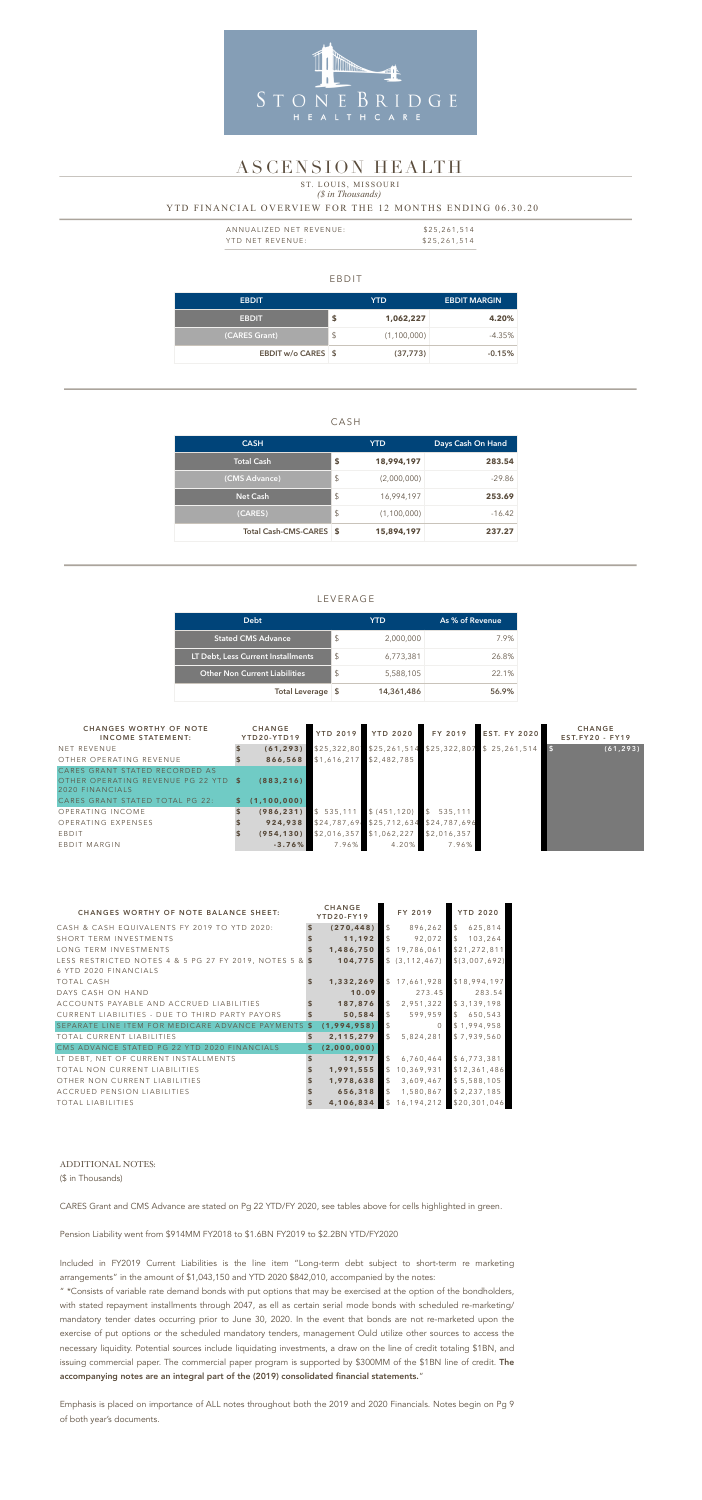### EBDIT

| <b>EBDIT</b>       |                         | YTD.        | <b>EBDIT MARGIN</b> |
|--------------------|-------------------------|-------------|---------------------|
| <b>EBDIT</b>       | \$                      | 1,062,227   | 4.20%               |
| (CARES Grant)      | $\sqrt[6]{\frac{1}{2}}$ | (1,100,000) | $-4.35\%$           |
| EBDIT w/o CARES \$ |                         | (37, 773)   | $-0.15%$            |

### CASH

| <b>CASH</b>             |                           | <b>YTD</b>  | Days Cash On Hand |  |  |
|-------------------------|---------------------------|-------------|-------------------|--|--|
| <b>Total Cash</b>       | S                         | 18,994,197  | 283.54            |  |  |
| (CMS Advance)           | $\sqrt[6]{\frac{1}{2}}$   | (2,000,000) | -29.86            |  |  |
| <b>Net Cash</b>         | $\boldsymbol{\mathsf{S}}$ | 16,994,197  | 253.69            |  |  |
| (CARES)                 | \$                        | (1,100,000) | $-16.42$          |  |  |
| Total Cash-CMS-CARES \$ |                           | 15,894,197  | 237.27            |  |  |

| ANNUALIZED NET REVENUE: | \$25,261,514 |
|-------------------------|--------------|
| YTD NET REVENUE:        | \$25,261,514 |

### LEVERAGE

### *(\$ in Thousands)* YTD FINANCIAL OVERVIEW FOR THE 12 MONTHS ENDING 06.30.20 ST. LOUIS, MISSOURI

| <b>Debt</b>                          |     | YTD        | As % of Revenue |
|--------------------------------------|-----|------------|-----------------|
| <b>Stated CMS Advance</b>            | S   | 2,000,000  | 7.9%            |
| LT Debt, Less Current Installments   | \$  | 6,773,381  | 26.8%           |
| <b>Other Non Current Liabilities</b> | \$  | 5,588,105  | 22.1%           |
| <b>Total Leverage</b>                | - S | 14,361,486 | 56.9%           |



### ASCENSION HEALTH

| <b>CHANGES WORTHY OF NOTE</b><br><b>INCOME STATEMENT:</b>                                                                 |    | <b>CHANGE</b><br>YTD20-YTD19 | <b>YTD 2019</b> | <b>YTD 2020</b>          | FY 2019                  | <b>EST. FY 2020</b>       | <b>CHANGE</b><br>$EST.FY20 - FY19$ |
|---------------------------------------------------------------------------------------------------------------------------|----|------------------------------|-----------------|--------------------------|--------------------------|---------------------------|------------------------------------|
| NET REVENUE                                                                                                               |    | (61, 293)                    |                 | \$25,322,80 \$25,261,514 |                          | \$25,322,807 \$25,261,514 | (61, 293)                          |
| OTHER OPERATING REVENUE                                                                                                   |    | 866,568                      | \$1,616,217     | \$2,482,785              |                          |                           |                                    |
| CARES GRANT STATED RECORDED AS<br>OTHER OPERATING REVENUE PG 22 YTD<br>2020 FINANCIALS<br>CARES GRANT STATED TOTAL PG 22: | S. | (883, 216)<br>(1, 100, 000)  |                 |                          |                          |                           |                                    |
| OPERATING INCOME                                                                                                          |    | (986, 231)                   | \$535,111       | \$ (451, 120)            | 535,111<br>$\mathcal{L}$ |                           |                                    |
| OPERATING EXPENSES                                                                                                        |    | 924,938                      | \$24,787,69     | \$25,712,634             | \$24,787,696             |                           |                                    |
| EBDIT                                                                                                                     |    | (954, 130)                   | \$2,016,357     | \$1,062,227              | \$2,016,357              |                           |                                    |
| EBDIT MARGIN                                                                                                              |    | $-3.76%$                     | 7.96%           | 4.20%                    | 7.96%                    |                           |                                    |

| <b>CHANGES WORTHY OF NOTE BALANCE SHEET:</b>                                                | <b>CHANGE</b><br>YTD20-FY19 |               | FY 2019          | <b>YTD 2020</b>          |
|---------------------------------------------------------------------------------------------|-----------------------------|---------------|------------------|--------------------------|
| CASH & CASH EQUIVALENTS FY 2019 TO YTD 2020:                                                | (270, 448)                  | $\mathcal{L}$ | 896,262          | $\mathcal{L}$<br>625,814 |
| SHORT TERM INVESTMENTS                                                                      | 11,192                      | $\mathcal{L}$ | 92,072           | 103,264<br>$\mathcal{S}$ |
| LONG TERM INVESTMENTS                                                                       | 1,486,750                   |               | \$19,786,061     | \$21,272,811             |
| LESS RESTRICTED NOTES 4 & 5 PG 27 FY 2019, NOTES 5 & $\frac{1}{9}$<br>6 YTD 2020 FINANCIALS | 104,775                     |               | \$ (3, 112, 467) | \$(3,007,692)            |
| <b>TOTAL CASH</b>                                                                           | 1,332,269                   |               | \$17,661,928     | \$18,994,197             |
| DAYS CASH ON HAND                                                                           | 10.09                       |               | 273.45           | 283.54                   |
| ACCOUNTS PAYABLE AND ACCRUED LIABILITIES                                                    | 187,876                     | $\mathcal{L}$ | 2,951,322        | \$3,139,198              |
| CURRENT LIABILITIES - DUE TO THIRD PARTY PAYORS                                             | 50,584                      | $\mathcal{L}$ | 599,959          | \$650,543                |
| SEPARATE LINE ITEM FOR MEDICARE ADVANCE PAYMENTS \$                                         | (1,994,958)                 |               |                  | \$1,994,958              |
| TOTAL CURRENT LIABILITIES                                                                   | \$<br>2,115,279             | $\mathcal{L}$ | 5,824,281        | \$7,939,560              |
| CMS ADVANCE STATED PG 22 YTD 2020 FINANCIALS                                                | (2,000,000)                 |               |                  |                          |
| LT DEBT, NET OF CURRENT INSTALLMENTS                                                        | 12,917                      | $\mathcal{L}$ | 6,760,464        | \$6,773,381              |
| TOTAL NON CURRENT LIABILITIES                                                               | 1,991,555                   |               | \$10,369,931     | \$12,361,486             |
| OTHER NON CURRENT LIABILITIES                                                               | 1,978,638                   | $\mathcal{L}$ | 3,609,467        | \$5,588,105              |
| ACCRUED PENSION LIABILITIES                                                                 | 656,318                     | $\mathcal{L}$ | 1,580,867        | \$2,237,185              |
| TOTAL LIABILITIES                                                                           | 4,106,834                   |               | \$16,194,212     | \$20,301,046             |

#### ADDITIONAL NOTES:

(\$ in Thousands)

CARES Grant and CMS Advance are stated on Pg 22 YTD/FY 2020, see tables above for cells highlighted in green.

Pension Liability went from \$914MM FY2018 to \$1.6BN FY2019 to \$2.2BN YTD/FY2020

Included in FY2019 Current Liabilities is the line item "Long-term debt subject to short-term re marketing arrangements" in the amount of \$1,043,150 and YTD 2020 \$842,010, accompanied by the notes:

" \*Consists of variable rate demand bonds with put options that may be exercised at the option of the bondholders, with stated repayment installments through 2047, as ell as certain serial mode bonds with scheduled re-marketing/ mandatory tender dates occurring prior to June 30, 2020. In the event that bonds are not re-marketed upon the exercise of put options or the scheduled mandatory tenders, management Ould utilize other sources to access the necessary liquidity. Potential sources include liquidating investments, a draw on the line of credit totaling \$1BN, and issuing commercial paper. The commercial paper program is supported by \$300MM of the \$1BN line of credit. The accompanying notes are an integral part of the (2019) consolidated financial statements."

Emphasis is placed on importance of ALL notes throughout both the 2019 and 2020 Financials. Notes begin on Pg 9

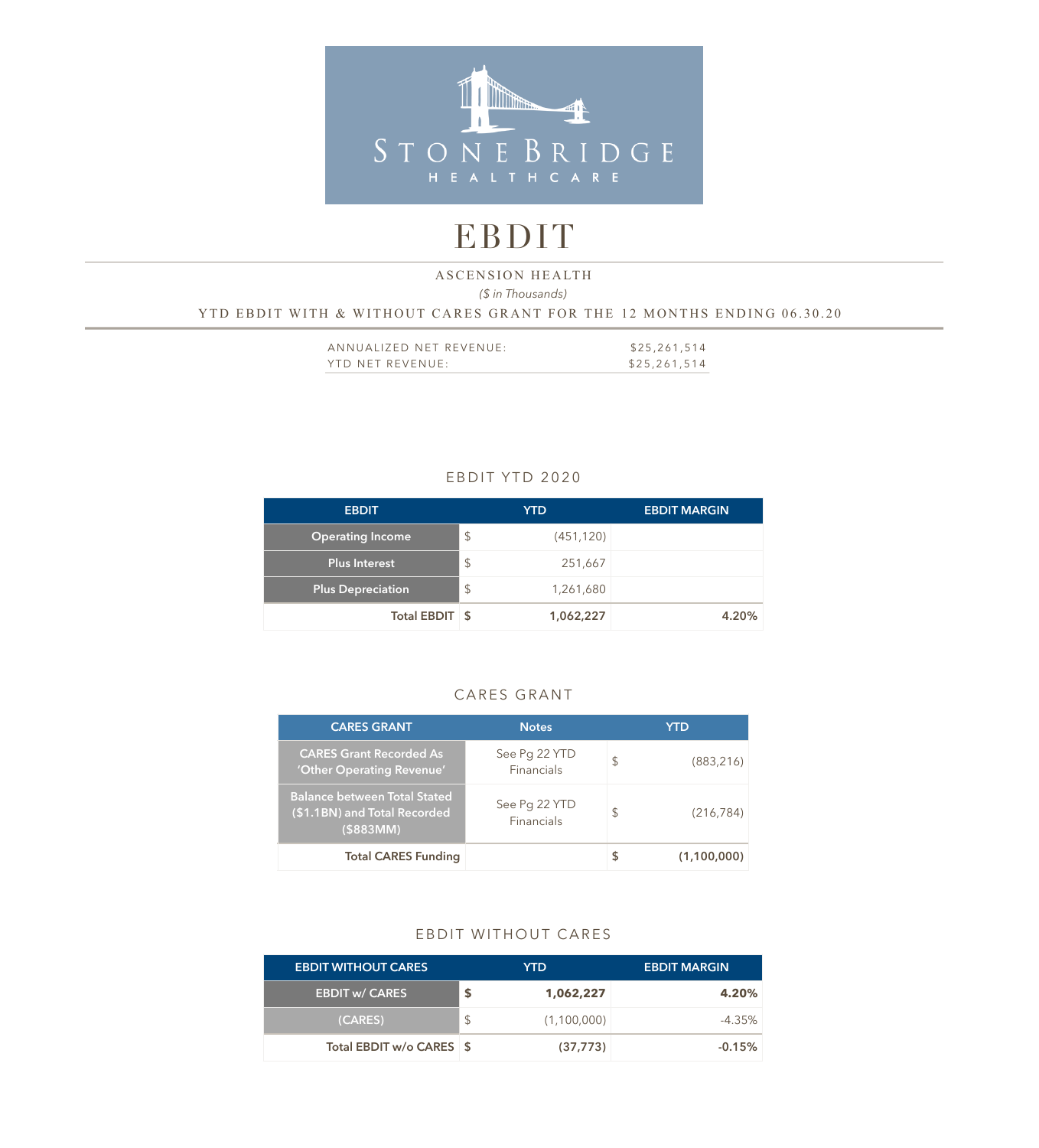

# EBDIT

### *(\$ in Thousands)*  YTD EBDIT WITH & WITHOUT CARES GRANT FOR THE 12 MONTHS ENDING 06.30.20 ASCENSION HEALTH

| ANNUALIZED NET REVENUE: | \$25,261,514 |
|-------------------------|--------------|
| YTD NET REVENUE:        | \$25,261,514 |

### EBDIT YTD 2020

| <b>EBDIT</b>             |                         | <b>YTD</b> | <b>EBDIT MARGIN</b> |
|--------------------------|-------------------------|------------|---------------------|
| <b>Operating Income</b>  | $\frac{1}{2}$           | (451, 120) |                     |
| <b>Plus Interest</b>     | $\sqrt[6]{\frac{1}{2}}$ | 251,667    |                     |
| <b>Plus Depreciation</b> | $\sqrt[6]{\frac{1}{2}}$ | 1,261,680  |                     |
| Total EBDIT \$           |                         | 1,062,227  | 4.20%               |

### CARES GRANT

| <b>CARES GRANT</b>                                                                  | <b>Notes</b>                | YTD              |
|-------------------------------------------------------------------------------------|-----------------------------|------------------|
| <b>CARES Grant Recorded As</b><br>'Other Operating Revenue'                         | See Pg 22 YTD<br>Financials | \$<br>(883, 216) |
| <b>Balance between Total Stated</b><br>(\$1.1BN) and Total Recorded<br>$($ \$883MM) | See Pg 22 YTD<br>Financials | \$<br>(216, 784) |
| <b>Total CARES Funding</b>                                                          |                             | (1,100,000)      |

### EBDIT WITHOUT CARES

| <b>EBDIT WITHOUT CARES</b> | YTD. |             | <b>EBDIT MARGIN</b> |
|----------------------------|------|-------------|---------------------|
| <b>EBDIT w/ CARES</b>      | S    | 1,062,227   | 4.20%               |
| (CARES)                    |      | (1,100,000) | $-4.35%$            |
| Total EBDIT w/o CARES \$   |      | (37, 773)   | $-0.15%$            |